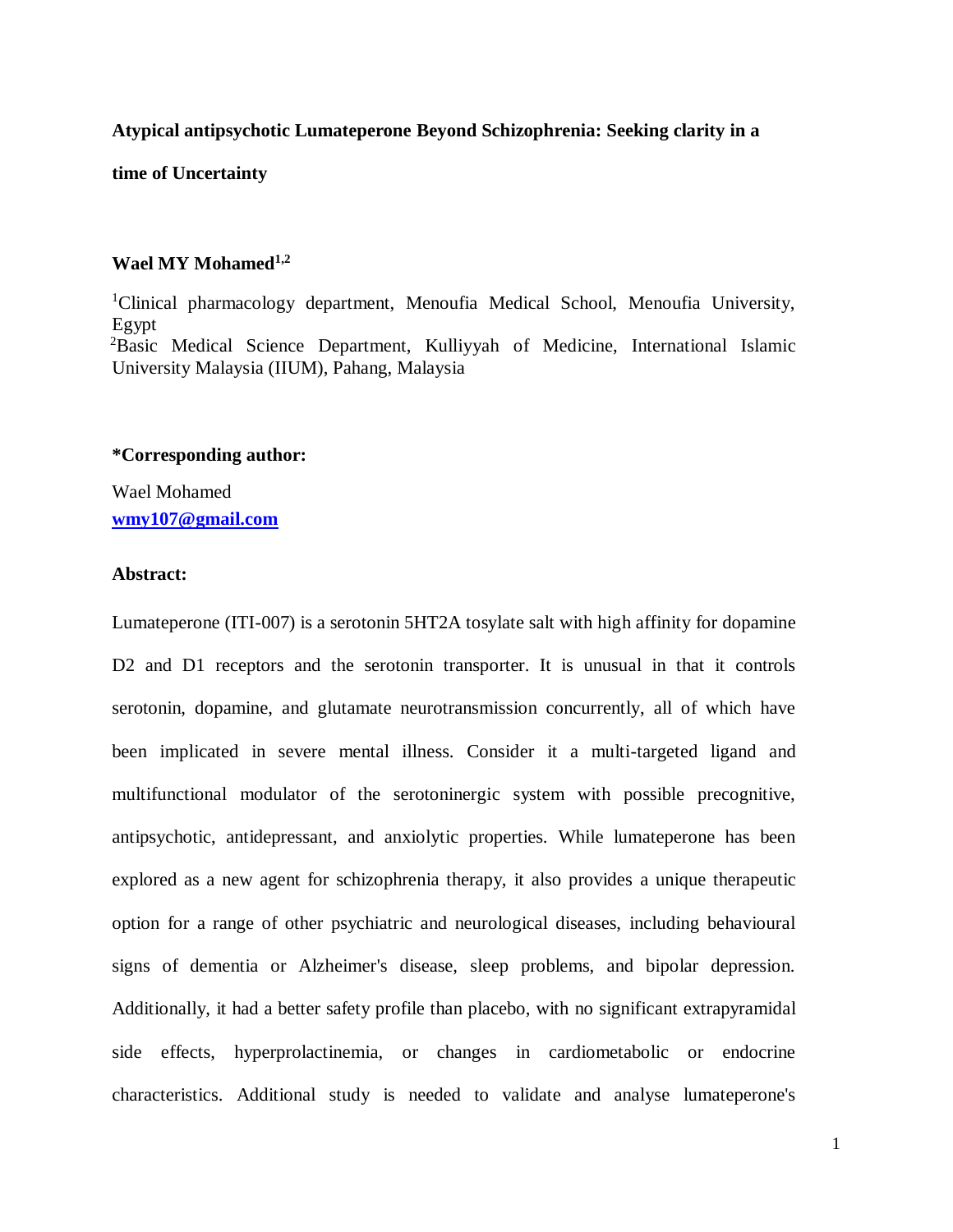## **Atypical antipsychotic Lumateperone Beyond Schizophrenia: Seeking clarity in a**

**time of Uncertainty**

## **Wael MY Mohamed1,2**

<sup>1</sup>Clinical pharmacology department, Menoufia Medical School, Menoufia University, Egypt <sup>2</sup>Basic Medical Science Department, Kulliyyah of Medicine, International Islamic University Malaysia (IIUM), Pahang, Malaysia

# **\*Corresponding author:**

Wael Mohamed **[wmy107@gmail.com](mailto:wmy107@gmail.com)**

# **Abstract:**

Lumateperone (ITI-007) is a serotonin 5HT2A tosylate salt with high affinity for dopamine D2 and D1 receptors and the serotonin transporter. It is unusual in that it controls serotonin, dopamine, and glutamate neurotransmission concurrently, all of which have been implicated in severe mental illness. Consider it a multi-targeted ligand and multifunctional modulator of the serotoninergic system with possible precognitive, antipsychotic, antidepressant, and anxiolytic properties. While lumateperone has been explored as a new agent for schizophrenia therapy, it also provides a unique therapeutic option for a range of other psychiatric and neurological diseases, including behavioural signs of dementia or Alzheimer's disease, sleep problems, and bipolar depression. Additionally, it had a better safety profile than placebo, with no significant extrapyramidal side effects, hyperprolactinemia, or changes in cardiometabolic or endocrine characteristics. Additional study is needed to validate and analyse lumateperone's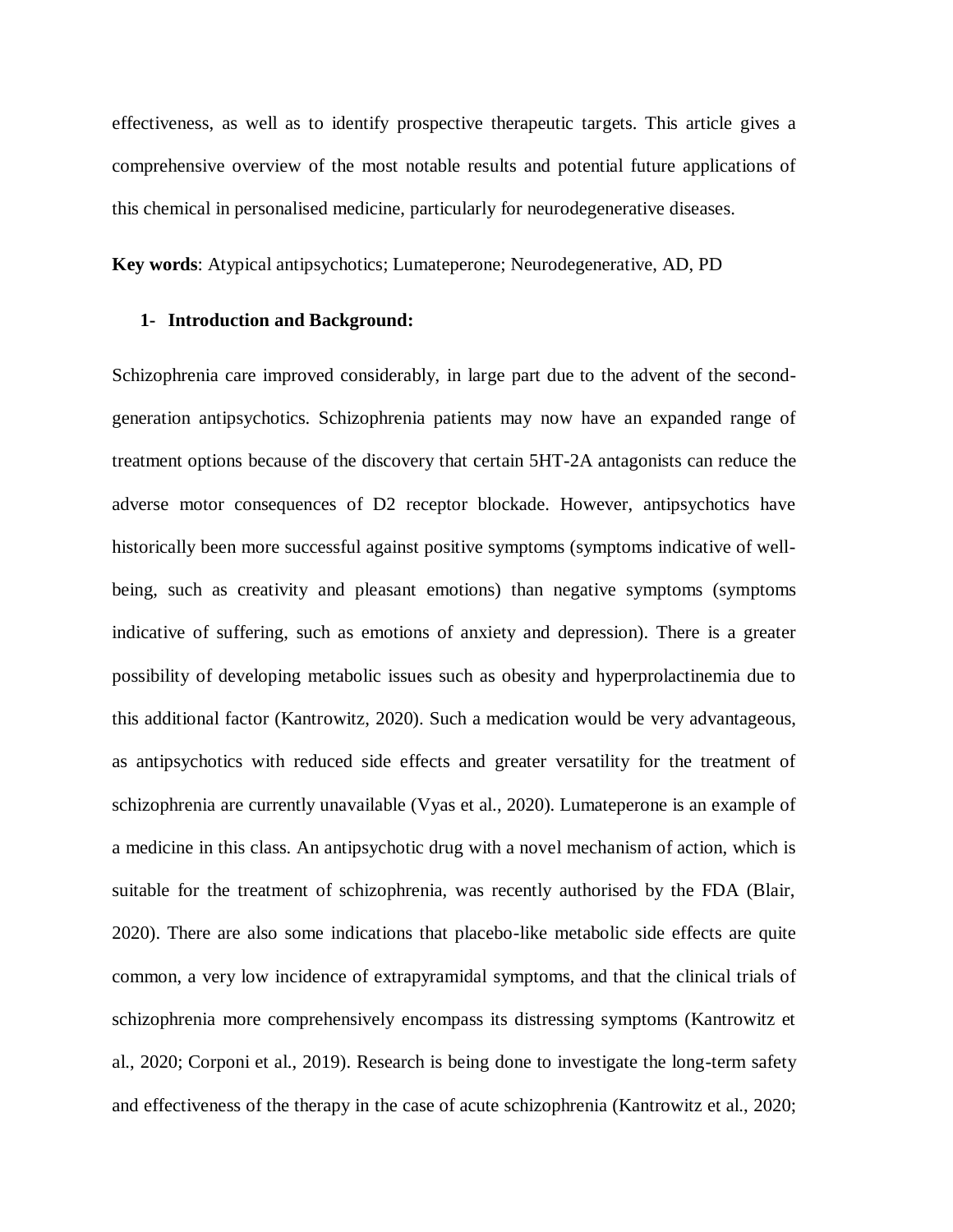effectiveness, as well as to identify prospective therapeutic targets. This article gives a comprehensive overview of the most notable results and potential future applications of this chemical in personalised medicine, particularly for neurodegenerative diseases.

**Key words**: Atypical antipsychotics; Lumateperone; Neurodegenerative, AD, PD

## **1- Introduction and Background:**

Schizophrenia care improved considerably, in large part due to the advent of the secondgeneration antipsychotics. Schizophrenia patients may now have an expanded range of treatment options because of the discovery that certain 5HT-2A antagonists can reduce the adverse motor consequences of D2 receptor blockade. However, antipsychotics have historically been more successful against positive symptoms (symptoms indicative of wellbeing, such as creativity and pleasant emotions) than negative symptoms (symptoms indicative of suffering, such as emotions of anxiety and depression). There is a greater possibility of developing metabolic issues such as obesity and hyperprolactinemia due to this additional factor (Kantrowitz, 2020). Such a medication would be very advantageous, as antipsychotics with reduced side effects and greater versatility for the treatment of schizophrenia are currently unavailable (Vyas et al., 2020). Lumateperone is an example of a medicine in this class. An antipsychotic drug with a novel mechanism of action, which is suitable for the treatment of schizophrenia, was recently authorised by the FDA (Blair, 2020). There are also some indications that placebo-like metabolic side effects are quite common, a very low incidence of extrapyramidal symptoms, and that the clinical trials of schizophrenia more comprehensively encompass its distressing symptoms (Kantrowitz et al., 2020; Corponi et al., 2019). Research is being done to investigate the long-term safety and effectiveness of the therapy in the case of acute schizophrenia (Kantrowitz et al., 2020;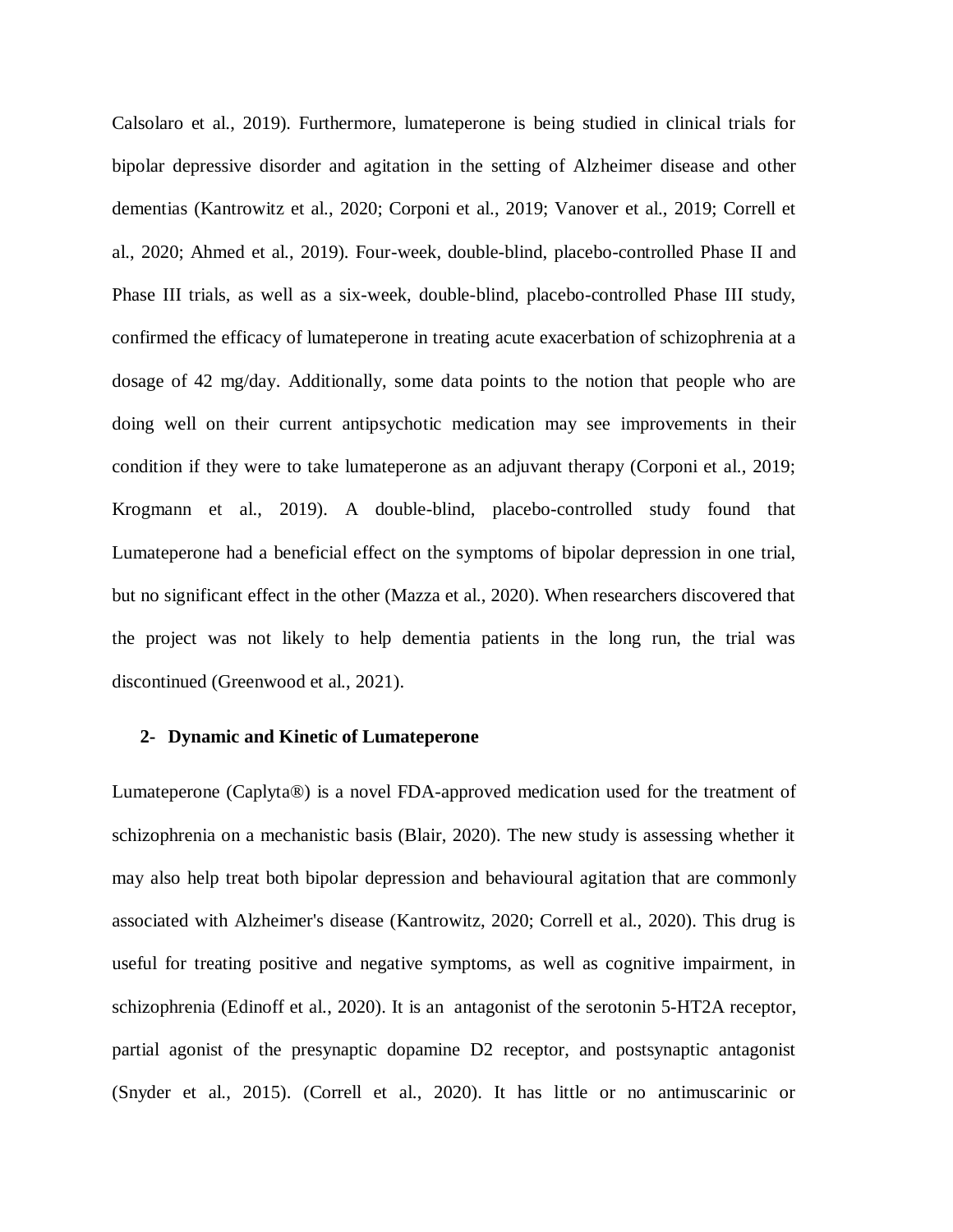Calsolaro et al., 2019). Furthermore, lumateperone is being studied in clinical trials for bipolar depressive disorder and agitation in the setting of Alzheimer disease and other dementias (Kantrowitz et al., 2020; Corponi et al., 2019; Vanover et al., 2019; Correll et al., 2020; Ahmed et al., 2019). Four-week, double-blind, placebo-controlled Phase II and Phase III trials, as well as a six-week, double-blind, placebo-controlled Phase III study, confirmed the efficacy of lumateperone in treating acute exacerbation of schizophrenia at a dosage of 42 mg/day. Additionally, some data points to the notion that people who are doing well on their current antipsychotic medication may see improvements in their condition if they were to take lumateperone as an adjuvant therapy (Corponi et al., 2019; Krogmann et al., 2019). A double-blind, placebo-controlled study found that Lumateperone had a beneficial effect on the symptoms of bipolar depression in one trial, but no significant effect in the other (Mazza et al., 2020). When researchers discovered that the project was not likely to help dementia patients in the long run, the trial was discontinued (Greenwood et al., 2021).

#### **2- Dynamic and Kinetic of Lumateperone**

Lumateperone (Caplyta®) is a novel FDA-approved medication used for the treatment of schizophrenia on a mechanistic basis (Blair, 2020). The new study is assessing whether it may also help treat both bipolar depression and behavioural agitation that are commonly associated with Alzheimer's disease (Kantrowitz, 2020; Correll et al., 2020). This drug is useful for treating positive and negative symptoms, as well as cognitive impairment, in schizophrenia (Edinoff et al., 2020). It is an antagonist of the serotonin 5-HT2A receptor, partial agonist of the presynaptic dopamine D2 receptor, and postsynaptic antagonist (Snyder et al., 2015). (Correll et al., 2020). It has little or no antimuscarinic or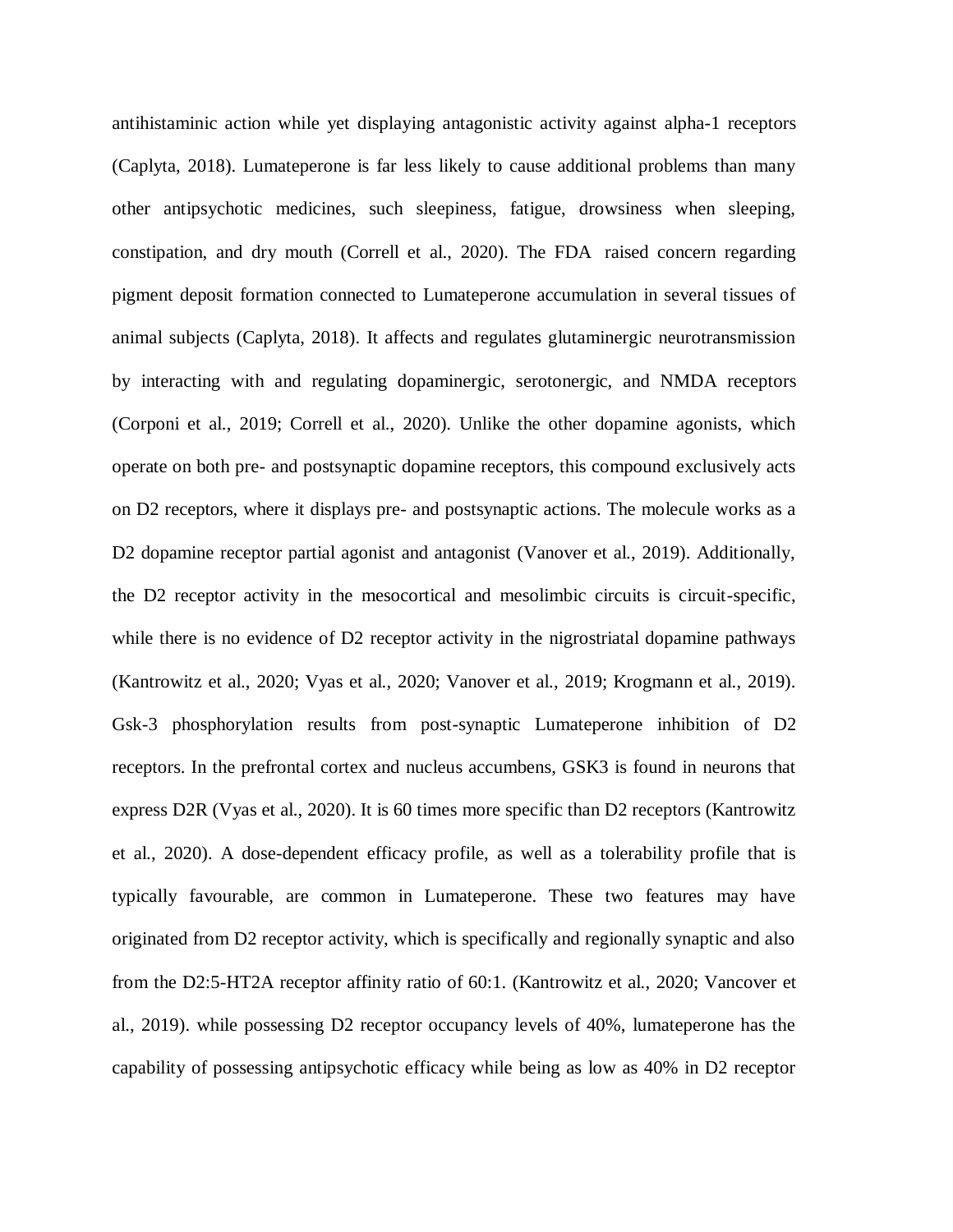antihistaminic action while yet displaying antagonistic activity against alpha-1 receptors (Caplyta, 2018). Lumateperone is far less likely to cause additional problems than many other antipsychotic medicines, such sleepiness, fatigue, drowsiness when sleeping, constipation, and dry mouth (Correll et al., 2020). The FDA raised concern regarding pigment deposit formation connected to Lumateperone accumulation in several tissues of animal subjects (Caplyta, 2018). It affects and regulates glutaminergic neurotransmission by interacting with and regulating dopaminergic, serotonergic, and NMDA receptors (Corponi et al., 2019; Correll et al., 2020). Unlike the other dopamine agonists, which operate on both pre- and postsynaptic dopamine receptors, this compound exclusively acts on D2 receptors, where it displays pre- and postsynaptic actions. The molecule works as a D2 dopamine receptor partial agonist and antagonist (Vanover et al., 2019). Additionally, the D2 receptor activity in the mesocortical and mesolimbic circuits is circuit-specific, while there is no evidence of D2 receptor activity in the nigrostriatal dopamine pathways (Kantrowitz et al., 2020; Vyas et al., 2020; Vanover et al., 2019; Krogmann et al., 2019). Gsk-3 phosphorylation results from post-synaptic Lumateperone inhibition of D2 receptors. In the prefrontal cortex and nucleus accumbens, GSK3 is found in neurons that express D2R (Vyas et al., 2020). It is 60 times more specific than D2 receptors (Kantrowitz et al., 2020). A dose-dependent efficacy profile, as well as a tolerability profile that is typically favourable, are common in Lumateperone. These two features may have originated from D2 receptor activity, which is specifically and regionally synaptic and also from the D2:5-HT2A receptor affinity ratio of 60:1. (Kantrowitz et al., 2020; Vancover et al., 2019). while possessing D2 receptor occupancy levels of 40%, lumateperone has the capability of possessing antipsychotic efficacy while being as low as 40% in D2 receptor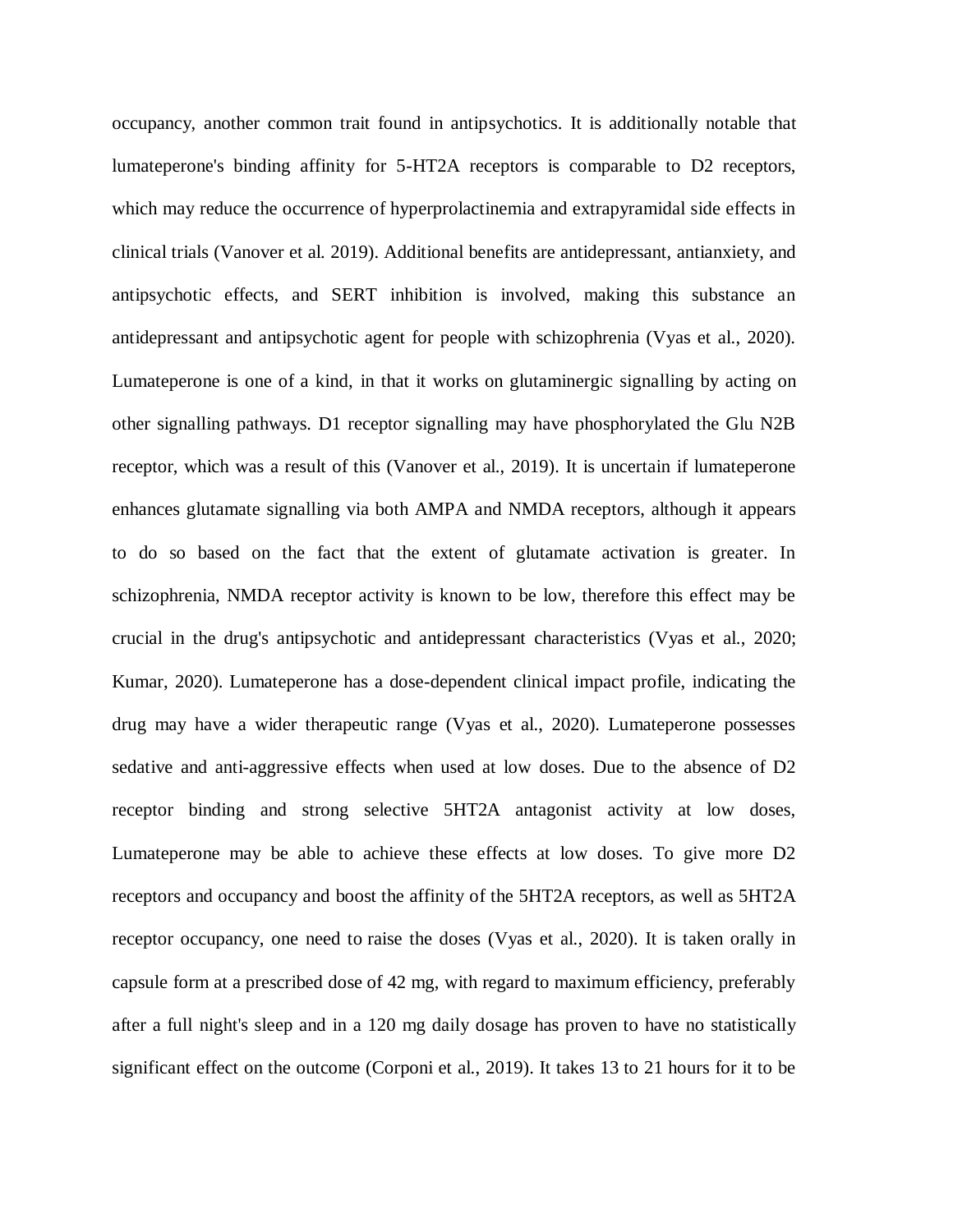occupancy, another common trait found in antipsychotics. It is additionally notable that lumateperone's binding affinity for 5-HT2A receptors is comparable to D2 receptors, which may reduce the occurrence of hyperprolactinemia and extrapyramidal side effects in clinical trials (Vanover et al. 2019). Additional benefits are antidepressant, antianxiety, and antipsychotic effects, and SERT inhibition is involved, making this substance an antidepressant and antipsychotic agent for people with schizophrenia (Vyas et al., 2020). Lumateperone is one of a kind, in that it works on glutaminergic signalling by acting on other signalling pathways. D1 receptor signalling may have phosphorylated the Glu N2B receptor, which was a result of this (Vanover et al., 2019). It is uncertain if lumateperone enhances glutamate signalling via both AMPA and NMDA receptors, although it appears to do so based on the fact that the extent of glutamate activation is greater. In schizophrenia, NMDA receptor activity is known to be low, therefore this effect may be crucial in the drug's antipsychotic and antidepressant characteristics (Vyas et al., 2020; Kumar, 2020). Lumateperone has a dose-dependent clinical impact profile, indicating the drug may have a wider therapeutic range (Vyas et al., 2020). Lumateperone possesses sedative and anti-aggressive effects when used at low doses. Due to the absence of D2 receptor binding and strong selective 5HT2A antagonist activity at low doses, Lumateperone may be able to achieve these effects at low doses. To give more D2 receptors and occupancy and boost the affinity of the 5HT2A receptors, as well as 5HT2A receptor occupancy, one need to raise the doses (Vyas et al., 2020). It is taken orally in capsule form at a prescribed dose of 42 mg, with regard to maximum efficiency, preferably after a full night's sleep and in a 120 mg daily dosage has proven to have no statistically significant effect on the outcome (Corponi et al., 2019). It takes 13 to 21 hours for it to be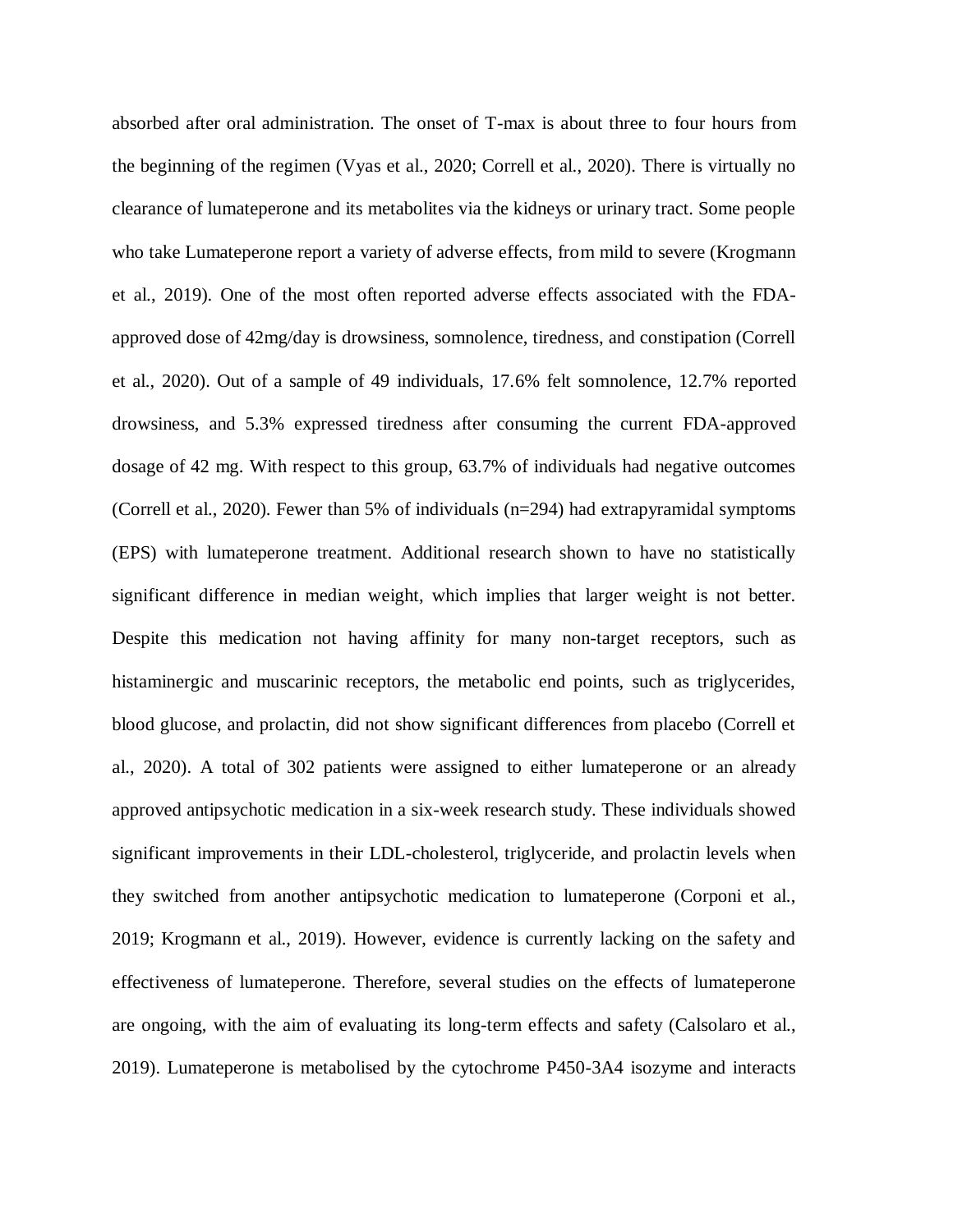absorbed after oral administration. The onset of T-max is about three to four hours from the beginning of the regimen (Vyas et al., 2020; Correll et al., 2020). There is virtually no clearance of lumateperone and its metabolites via the kidneys or urinary tract. Some people who take Lumateperone report a variety of adverse effects, from mild to severe (Krogmann et al., 2019). One of the most often reported adverse effects associated with the FDAapproved dose of 42mg/day is drowsiness, somnolence, tiredness, and constipation (Correll et al., 2020). Out of a sample of 49 individuals, 17.6% felt somnolence, 12.7% reported drowsiness, and 5.3% expressed tiredness after consuming the current FDA-approved dosage of 42 mg. With respect to this group, 63.7% of individuals had negative outcomes (Correll et al., 2020). Fewer than 5% of individuals (n=294) had extrapyramidal symptoms (EPS) with lumateperone treatment. Additional research shown to have no statistically significant difference in median weight, which implies that larger weight is not better. Despite this medication not having affinity for many non-target receptors, such as histaminergic and muscarinic receptors, the metabolic end points, such as triglycerides, blood glucose, and prolactin, did not show significant differences from placebo (Correll et al., 2020). A total of 302 patients were assigned to either lumateperone or an already approved antipsychotic medication in a six-week research study. These individuals showed significant improvements in their LDL-cholesterol, triglyceride, and prolactin levels when they switched from another antipsychotic medication to lumateperone (Corponi et al., 2019; Krogmann et al., 2019). However, evidence is currently lacking on the safety and effectiveness of lumateperone. Therefore, several studies on the effects of lumateperone are ongoing, with the aim of evaluating its long-term effects and safety (Calsolaro et al., 2019). Lumateperone is metabolised by the cytochrome P450-3A4 isozyme and interacts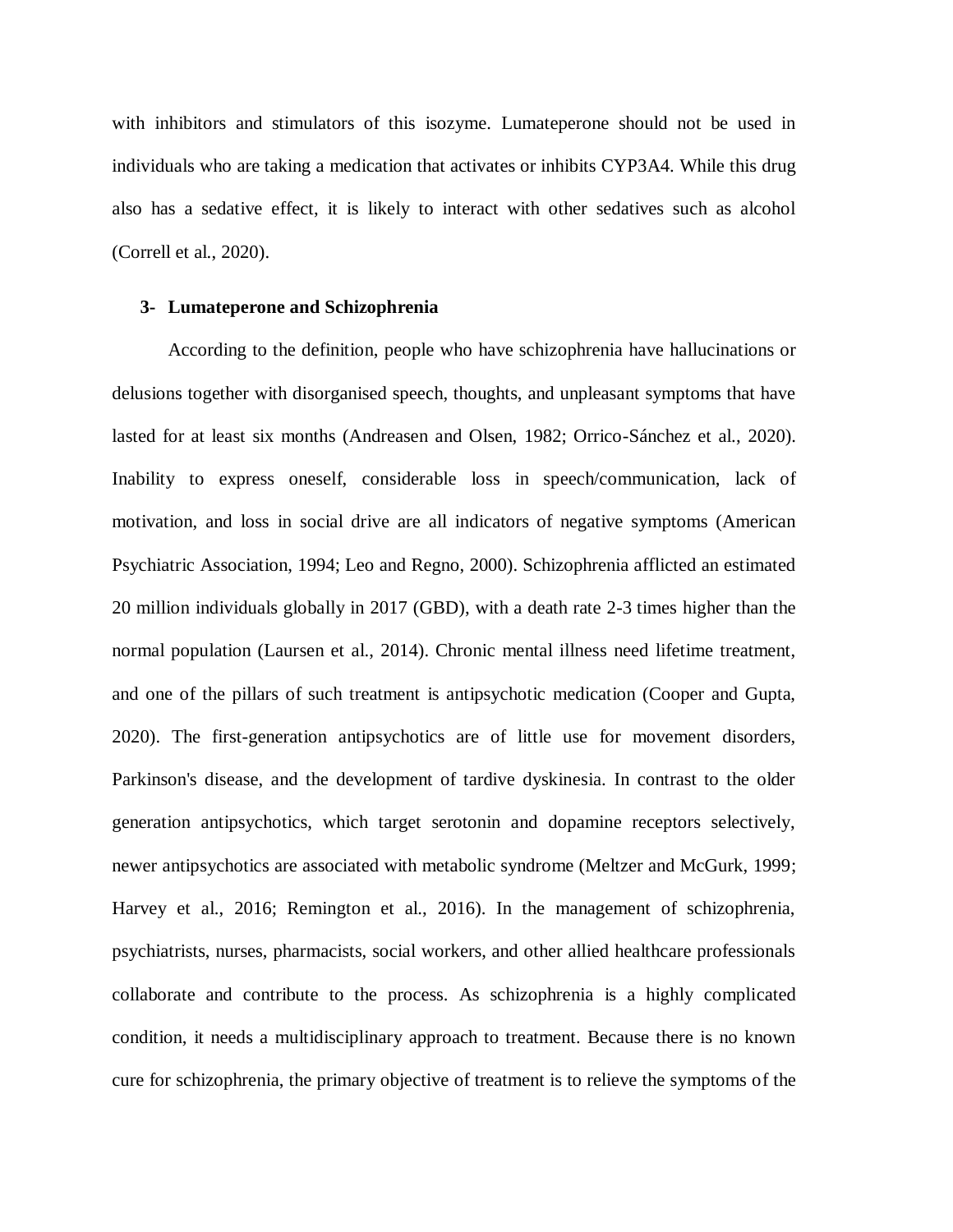with inhibitors and stimulators of this isozyme. Lumateperone should not be used in individuals who are taking a medication that activates or inhibits CYP3A4. While this drug also has a sedative effect, it is likely to interact with other sedatives such as alcohol (Correll et al., 2020).

# **3- Lumateperone and Schizophrenia**

According to the definition, people who have schizophrenia have hallucinations or delusions together with disorganised speech, thoughts, and unpleasant symptoms that have lasted for at least six months (Andreasen and Olsen, 1982; Orrico-Sánchez et al., 2020). Inability to express oneself, considerable loss in speech/communication, lack of motivation, and loss in social drive are all indicators of negative symptoms (American Psychiatric Association, 1994; Leo and Regno, 2000). Schizophrenia afflicted an estimated 20 million individuals globally in 2017 (GBD), with a death rate 2-3 times higher than the normal population (Laursen et al., 2014). Chronic mental illness need lifetime treatment, and one of the pillars of such treatment is antipsychotic medication (Cooper and Gupta, 2020). The first-generation antipsychotics are of little use for movement disorders, Parkinson's disease, and the development of tardive dyskinesia. In contrast to the older generation antipsychotics, which target serotonin and dopamine receptors selectively, newer antipsychotics are associated with metabolic syndrome (Meltzer and McGurk, 1999; Harvey et al., 2016; Remington et al., 2016). In the management of schizophrenia, psychiatrists, nurses, pharmacists, social workers, and other allied healthcare professionals collaborate and contribute to the process. As schizophrenia is a highly complicated condition, it needs a multidisciplinary approach to treatment. Because there is no known cure for schizophrenia, the primary objective of treatment is to relieve the symptoms of the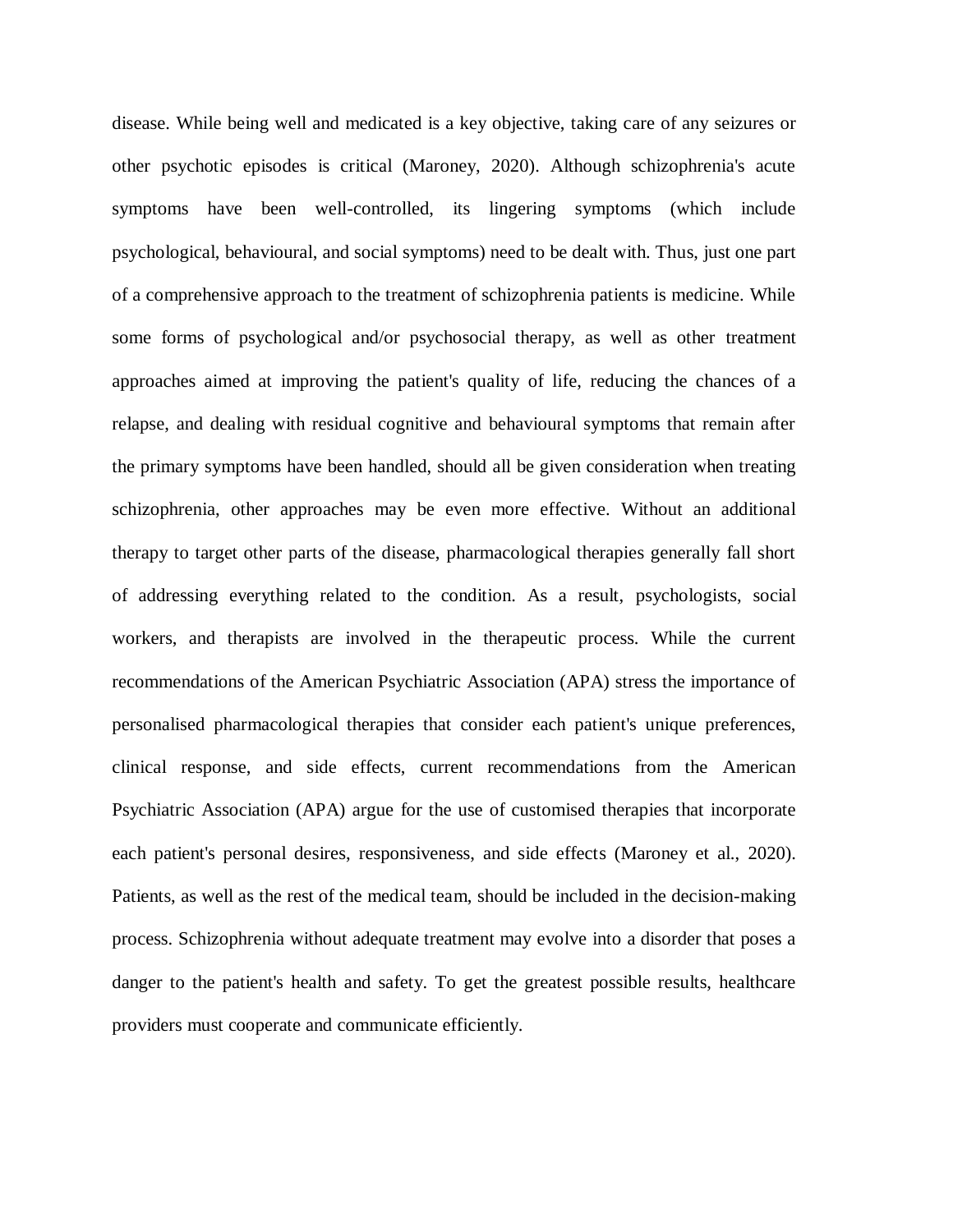disease. While being well and medicated is a key objective, taking care of any seizures or other psychotic episodes is critical (Maroney, 2020). Although schizophrenia's acute symptoms have been well-controlled, its lingering symptoms (which include psychological, behavioural, and social symptoms) need to be dealt with. Thus, just one part of a comprehensive approach to the treatment of schizophrenia patients is medicine. While some forms of psychological and/or psychosocial therapy, as well as other treatment approaches aimed at improving the patient's quality of life, reducing the chances of a relapse, and dealing with residual cognitive and behavioural symptoms that remain after the primary symptoms have been handled, should all be given consideration when treating schizophrenia, other approaches may be even more effective. Without an additional therapy to target other parts of the disease, pharmacological therapies generally fall short of addressing everything related to the condition. As a result, psychologists, social workers, and therapists are involved in the therapeutic process. While the current recommendations of the American Psychiatric Association (APA) stress the importance of personalised pharmacological therapies that consider each patient's unique preferences, clinical response, and side effects, current recommendations from the American Psychiatric Association (APA) argue for the use of customised therapies that incorporate each patient's personal desires, responsiveness, and side effects (Maroney et al., 2020). Patients, as well as the rest of the medical team, should be included in the decision-making process. Schizophrenia without adequate treatment may evolve into a disorder that poses a danger to the patient's health and safety. To get the greatest possible results, healthcare providers must cooperate and communicate efficiently.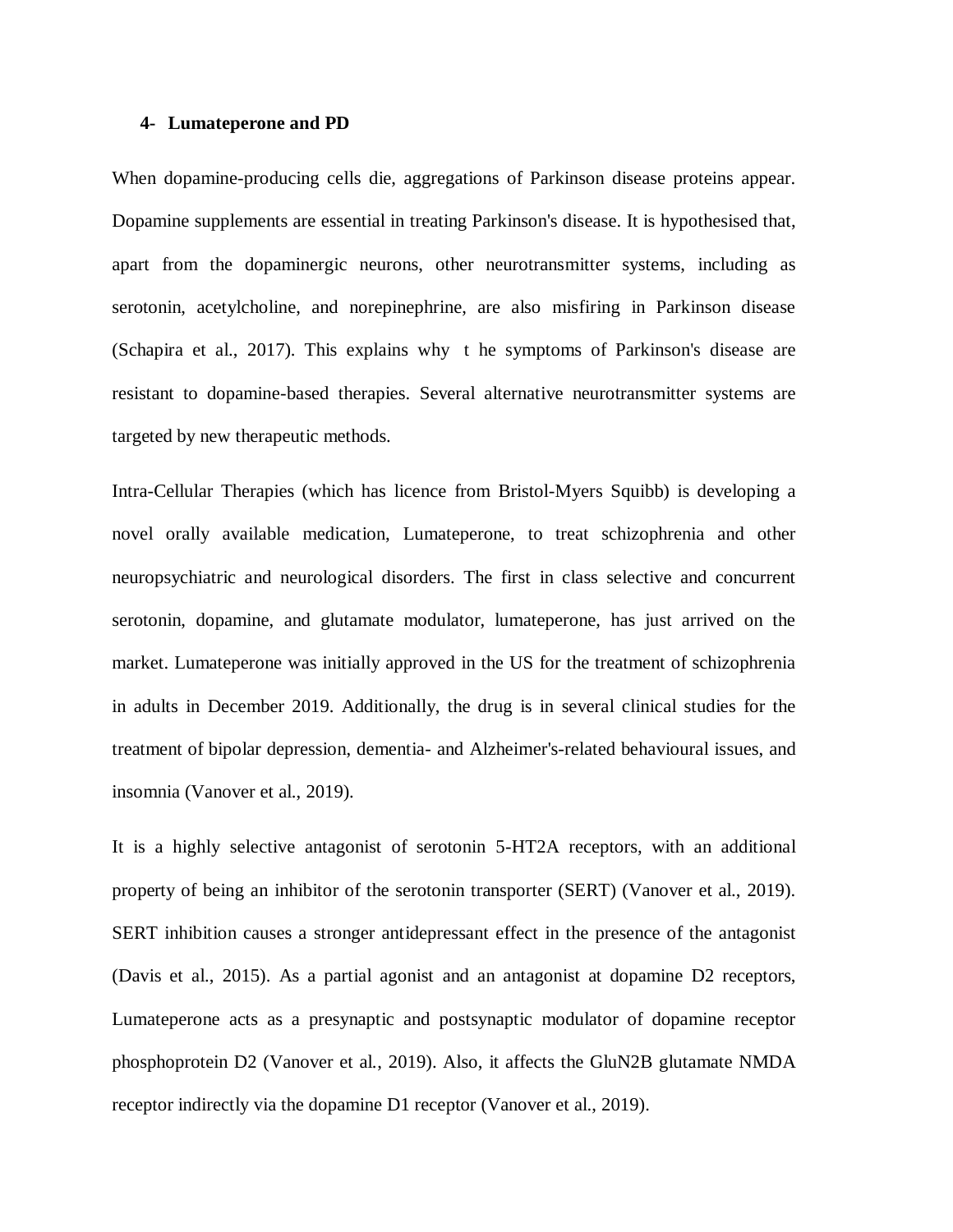#### **4- Lumateperone and PD**

When dopamine-producing cells die, aggregations of Parkinson disease proteins appear. Dopamine supplements are essential in treating Parkinson's disease. It is hypothesised that, apart from the dopaminergic neurons, other neurotransmitter systems, including as serotonin, acetylcholine, and norepinephrine, are also misfiring in Parkinson disease (Schapira et al., 2017). This explains why t he symptoms of Parkinson's disease are resistant to dopamine-based therapies. Several alternative neurotransmitter systems are targeted by new therapeutic methods.

Intra-Cellular Therapies (which has licence from Bristol-Myers Squibb) is developing a novel orally available medication, Lumateperone, to treat schizophrenia and other neuropsychiatric and neurological disorders. The first in class selective and concurrent serotonin, dopamine, and glutamate modulator, lumateperone, has just arrived on the market. Lumateperone was initially approved in the US for the treatment of schizophrenia in adults in December 2019. Additionally, the drug is in several clinical studies for the treatment of bipolar depression, dementia- and Alzheimer's-related behavioural issues, and insomnia (Vanover et al., 2019).

It is a highly selective antagonist of serotonin 5-HT2A receptors, with an additional property of being an inhibitor of the serotonin transporter (SERT) (Vanover et al., 2019). SERT inhibition causes a stronger antidepressant effect in the presence of the antagonist (Davis et al., 2015). As a partial agonist and an antagonist at dopamine D2 receptors, Lumateperone acts as a presynaptic and postsynaptic modulator of dopamine receptor phosphoprotein D2 (Vanover et al., 2019). Also, it affects the GluN2B glutamate NMDA receptor indirectly via the dopamine D1 receptor (Vanover et al., 2019).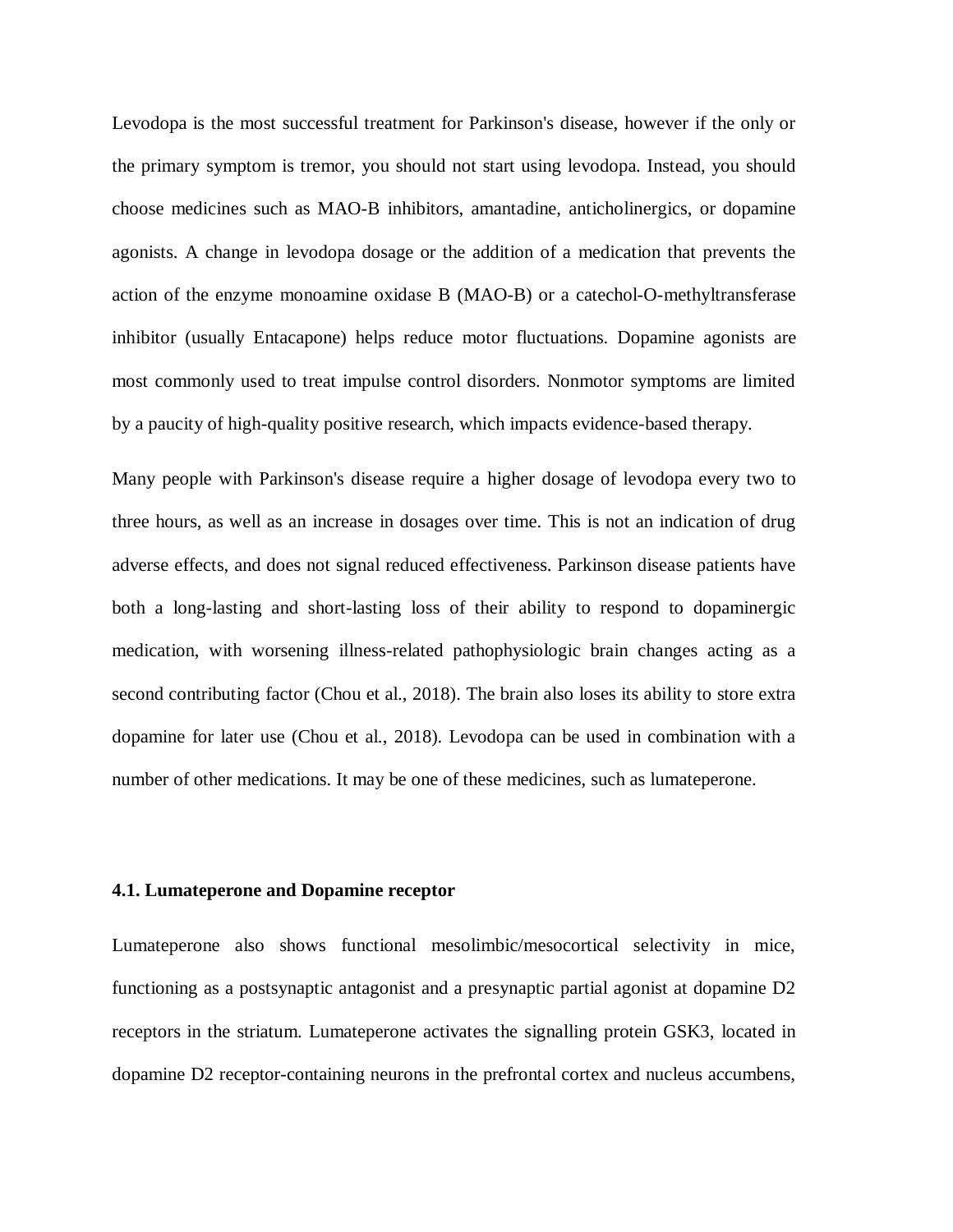Levodopa is the most successful treatment for Parkinson's disease, however if the only or the primary symptom is tremor, you should not start using levodopa. Instead, you should choose medicines such as MAO-B inhibitors, amantadine, anticholinergics, or dopamine agonists. A change in levodopa dosage or the addition of a medication that prevents the action of the enzyme monoamine oxidase B (MAO-B) or a catechol-O-methyltransferase inhibitor (usually Entacapone) helps reduce motor fluctuations. Dopamine agonists are most commonly used to treat impulse control disorders. Nonmotor symptoms are limited by a paucity of high-quality positive research, which impacts evidence-based therapy.

Many people with Parkinson's disease require a higher dosage of levodopa every two to three hours, as well as an increase in dosages over time. This is not an indication of drug adverse effects, and does not signal reduced effectiveness. Parkinson disease patients have both a long-lasting and short-lasting loss of their ability to respond to dopaminergic medication, with worsening illness-related pathophysiologic brain changes acting as a second contributing factor (Chou et al., 2018). The brain also loses its ability to store extra dopamine for later use (Chou et al., 2018). Levodopa can be used in combination with a number of other medications. It may be one of these medicines, such as lumateperone.

## **4.1. Lumateperone and Dopamine receptor**

Lumateperone also shows functional mesolimbic/mesocortical selectivity in mice, functioning as a postsynaptic antagonist and a presynaptic partial agonist at dopamine D2 receptors in the striatum. Lumateperone activates the signalling protein GSK3, located in dopamine D2 receptor-containing neurons in the prefrontal cortex and nucleus accumbens,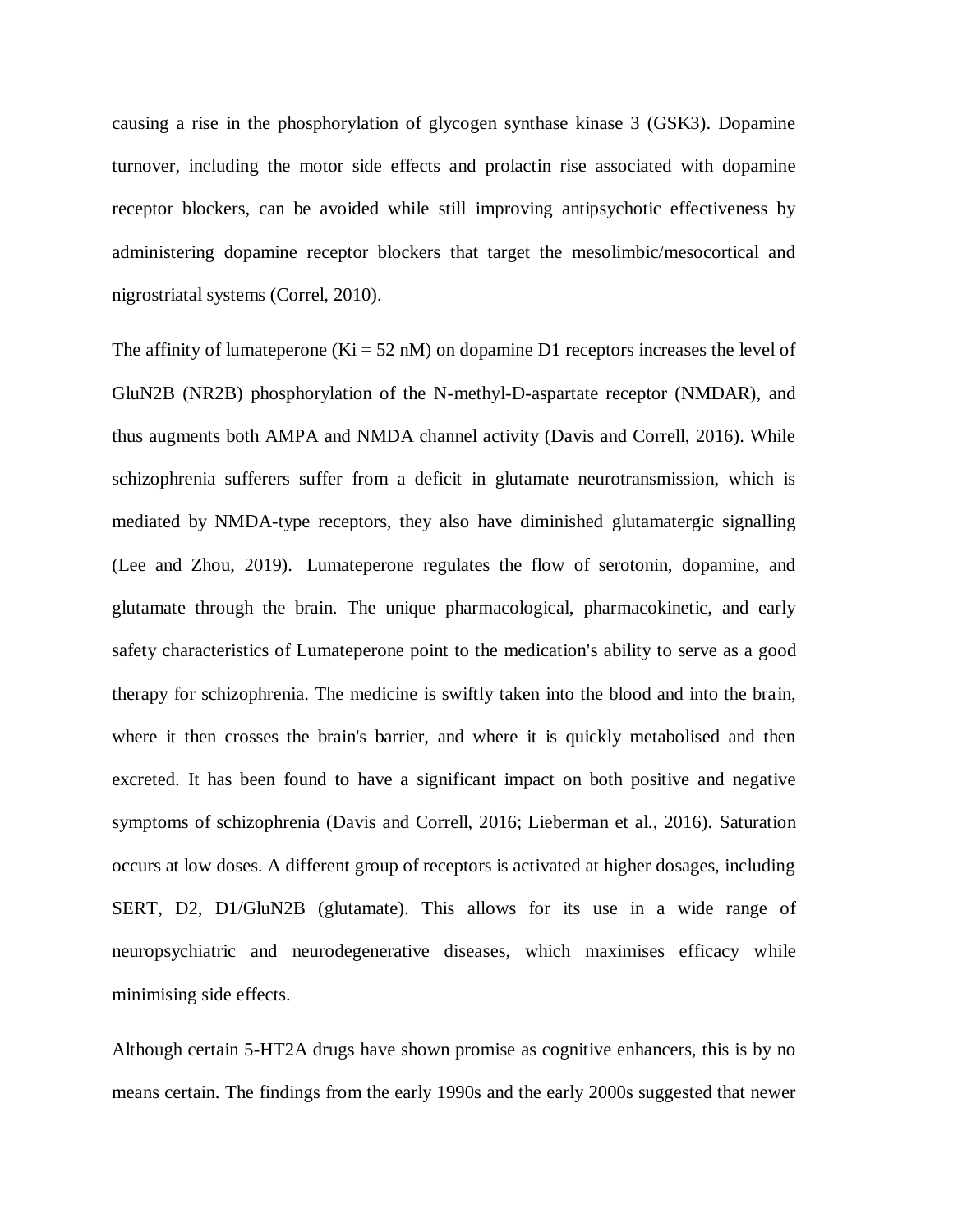causing a rise in the phosphorylation of glycogen synthase kinase 3 (GSK3). Dopamine turnover, including the motor side effects and prolactin rise associated with dopamine receptor blockers, can be avoided while still improving antipsychotic effectiveness by administering dopamine receptor blockers that target the mesolimbic/mesocortical and nigrostriatal systems (Correl, 2010).

The affinity of lumateperone ( $Ki = 52$  nM) on dopamine D1 receptors increases the level of GluN2B (NR2B) phosphorylation of the N-methyl-D-aspartate receptor (NMDAR), and thus augments both AMPA and NMDA channel activity (Davis and Correll, 2016). While schizophrenia sufferers suffer from a deficit in glutamate neurotransmission, which is mediated by NMDA-type receptors, they also have diminished glutamatergic signalling (Lee and Zhou, 2019). Lumateperone regulates the flow of serotonin, dopamine, and glutamate through the brain. The unique pharmacological, pharmacokinetic, and early safety characteristics of Lumateperone point to the medication's ability to serve as a good therapy for schizophrenia. The medicine is swiftly taken into the blood and into the brain, where it then crosses the brain's barrier, and where it is quickly metabolised and then excreted. It has been found to have a significant impact on both positive and negative symptoms of schizophrenia (Davis and Correll, 2016; Lieberman et al., 2016). Saturation occurs at low doses. A different group of receptors is activated at higher dosages, including SERT, D2, D1/GluN2B (glutamate). This allows for its use in a wide range of neuropsychiatric and neurodegenerative diseases, which maximises efficacy while minimising side effects.

Although certain 5-HT2A drugs have shown promise as cognitive enhancers, this is by no means certain. The findings from the early 1990s and the early 2000s suggested that newer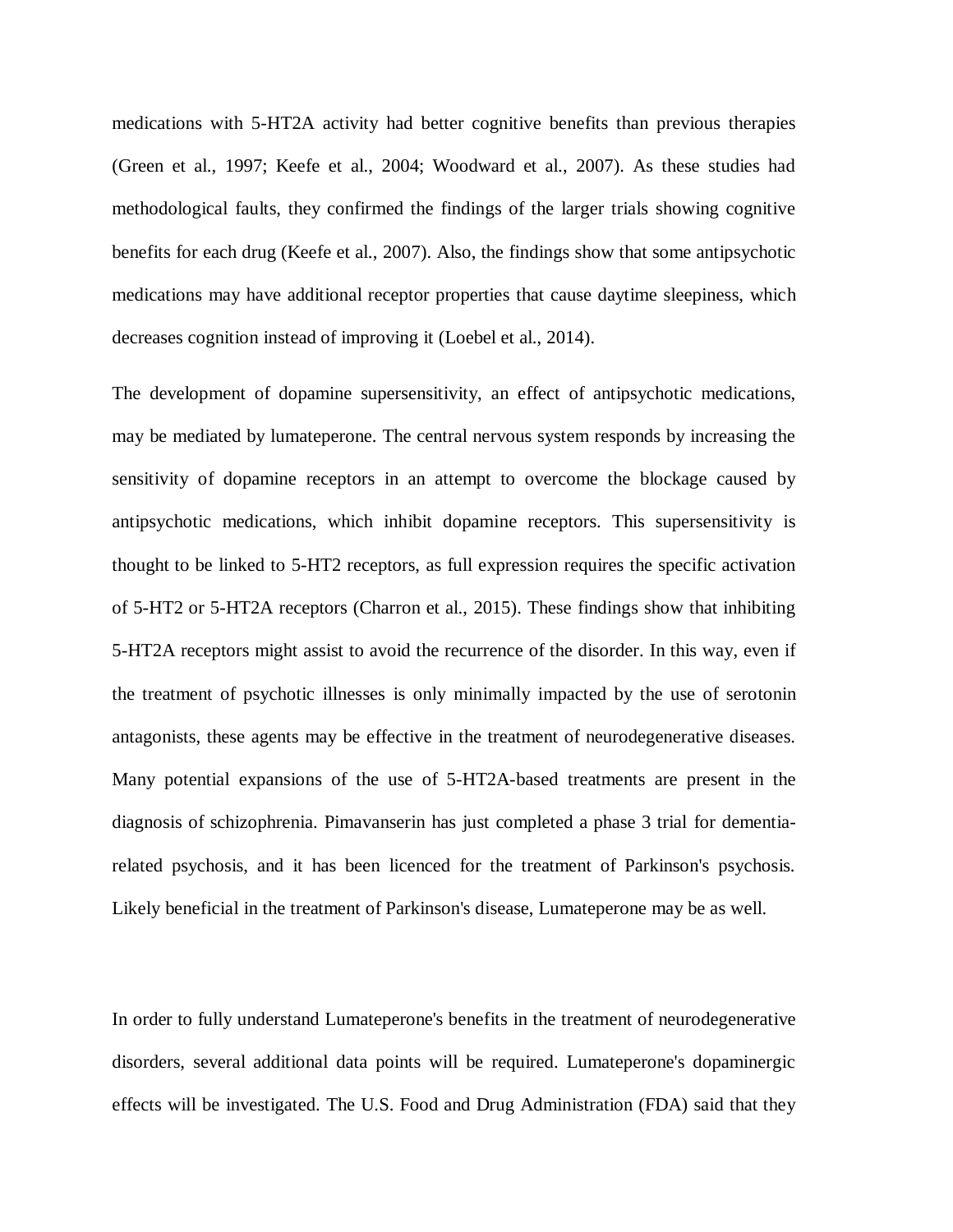medications with 5-HT2A activity had better cognitive benefits than previous therapies (Green et al., 1997; Keefe et al., 2004; Woodward et al., 2007). As these studies had methodological faults, they confirmed the findings of the larger trials showing cognitive benefits for each drug (Keefe et al., 2007). Also, the findings show that some antipsychotic medications may have additional receptor properties that cause daytime sleepiness, which decreases cognition instead of improving it (Loebel et al., 2014).

The development of dopamine supersensitivity, an effect of antipsychotic medications, may be mediated by lumateperone. The central nervous system responds by increasing the sensitivity of dopamine receptors in an attempt to overcome the blockage caused by antipsychotic medications, which inhibit dopamine receptors. This supersensitivity is thought to be linked to 5-HT2 receptors, as full expression requires the specific activation of 5-HT2 or 5-HT2A receptors (Charron et al., 2015). These findings show that inhibiting 5-HT2A receptors might assist to avoid the recurrence of the disorder. In this way, even if the treatment of psychotic illnesses is only minimally impacted by the use of serotonin antagonists, these agents may be effective in the treatment of neurodegenerative diseases. Many potential expansions of the use of 5-HT2A-based treatments are present in the diagnosis of schizophrenia. Pimavanserin has just completed a phase 3 trial for dementiarelated psychosis, and it has been licenced for the treatment of Parkinson's psychosis. Likely beneficial in the treatment of Parkinson's disease, Lumateperone may be as well.

In order to fully understand Lumateperone's benefits in the treatment of neurodegenerative disorders, several additional data points will be required. Lumateperone's dopaminergic effects will be investigated. The U.S. Food and Drug Administration (FDA) said that they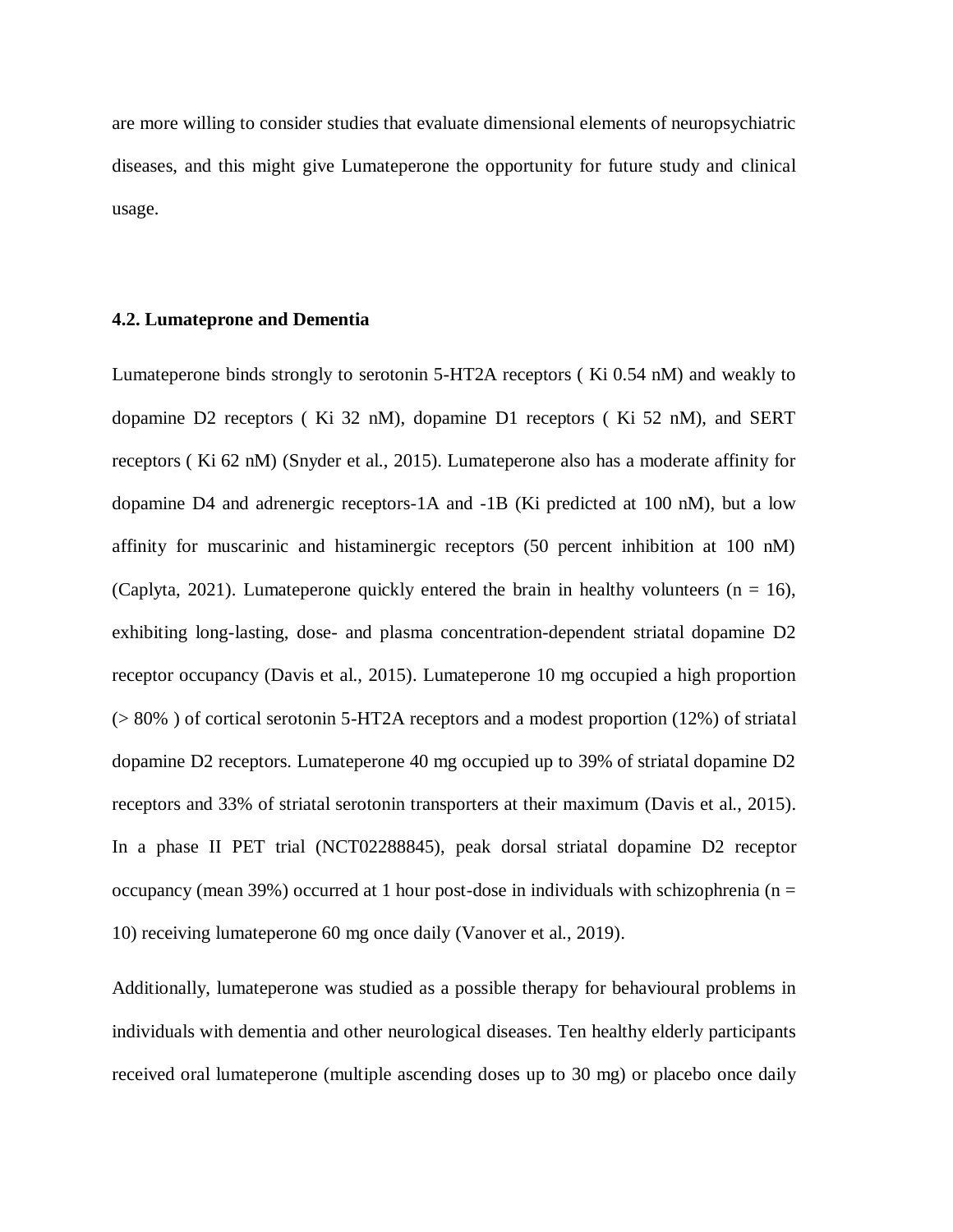are more willing to consider studies that evaluate dimensional elements of neuropsychiatric diseases, and this might give Lumateperone the opportunity for future study and clinical usage.

#### **4.2. Lumateprone and Dementia**

Lumateperone binds strongly to serotonin 5-HT2A receptors ( Ki 0.54 nM) and weakly to dopamine D2 receptors ( Ki 32 nM), dopamine D1 receptors ( Ki 52 nM), and SERT receptors ( Ki 62 nM) (Snyder et al., 2015). Lumateperone also has a moderate affinity for dopamine D4 and adrenergic receptors-1A and -1B (Ki predicted at 100 nM), but a low affinity for muscarinic and histaminergic receptors (50 percent inhibition at 100 nM) (Caplyta, 2021). Lumateperone quickly entered the brain in healthy volunteers  $(n = 16)$ , exhibiting long-lasting, dose- and plasma concentration-dependent striatal dopamine D2 receptor occupancy (Davis et al., 2015). Lumateperone 10 mg occupied a high proportion (> 80% ) of cortical serotonin 5-HT2A receptors and a modest proportion (12%) of striatal dopamine D2 receptors. Lumateperone 40 mg occupied up to 39% of striatal dopamine D2 receptors and 33% of striatal serotonin transporters at their maximum (Davis et al., 2015). In a phase II PET trial (NCT02288845), peak dorsal striatal dopamine D2 receptor occupancy (mean 39%) occurred at 1 hour post-dose in individuals with schizophrenia ( $n =$ 10) receiving lumateperone 60 mg once daily (Vanover et al., 2019).

Additionally, lumateperone was studied as a possible therapy for behavioural problems in individuals with dementia and other neurological diseases. Ten healthy elderly participants received oral lumateperone (multiple ascending doses up to 30 mg) or placebo once daily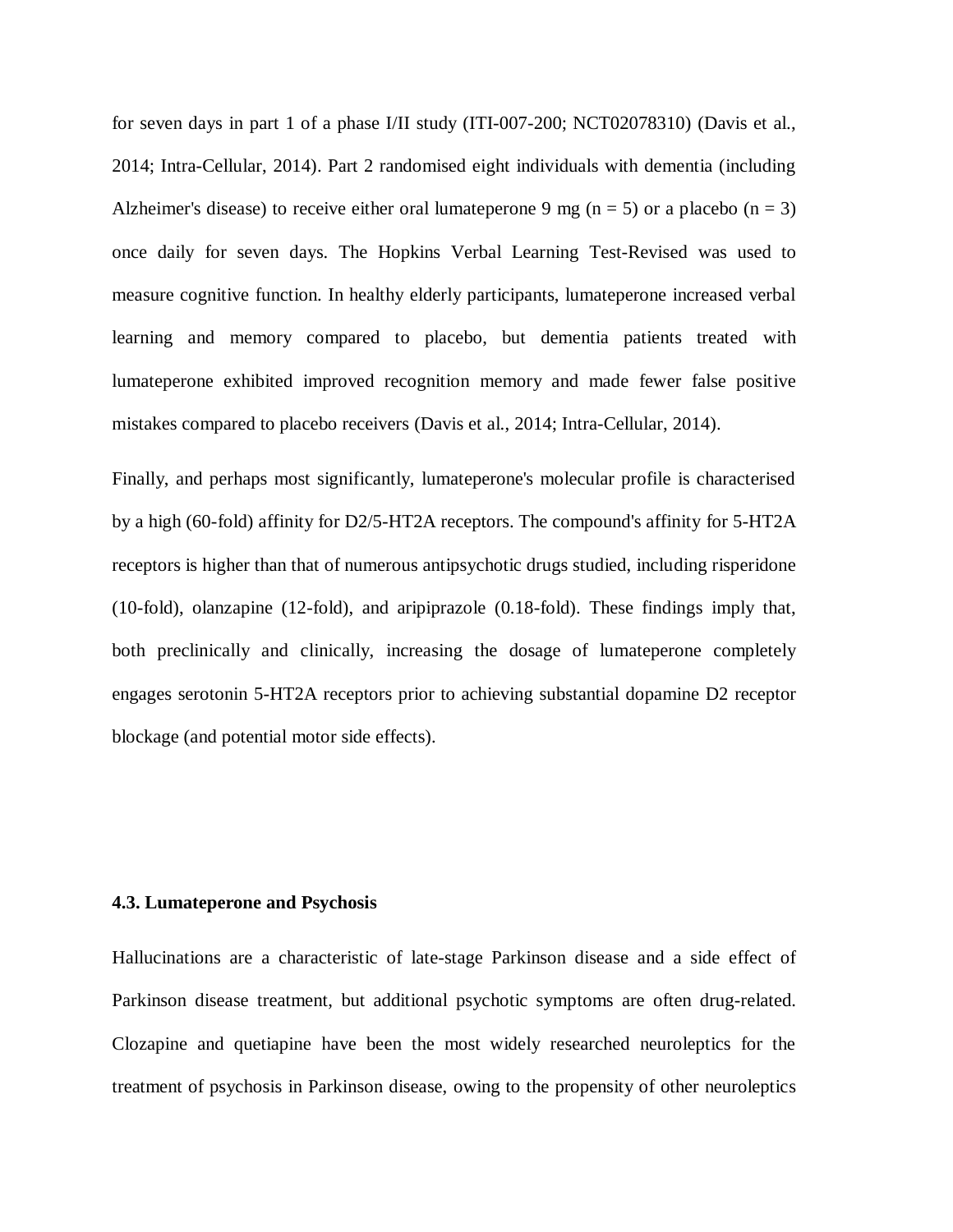for seven days in part 1 of a phase I/II study (ITI-007-200; NCT02078310) (Davis et al., 2014; Intra-Cellular, 2014). Part 2 randomised eight individuals with dementia (including Alzheimer's disease) to receive either oral lumateperone 9 mg ( $n = 5$ ) or a placebo ( $n = 3$ ) once daily for seven days. The Hopkins Verbal Learning Test-Revised was used to measure cognitive function. In healthy elderly participants, lumateperone increased verbal learning and memory compared to placebo, but dementia patients treated with lumateperone exhibited improved recognition memory and made fewer false positive mistakes compared to placebo receivers (Davis et al., 2014; Intra-Cellular, 2014).

Finally, and perhaps most significantly, lumateperone's molecular profile is characterised by a high (60-fold) affinity for D2/5-HT2A receptors. The compound's affinity for 5-HT2A receptors is higher than that of numerous antipsychotic drugs studied, including risperidone (10-fold), olanzapine (12-fold), and aripiprazole (0.18-fold). These findings imply that, both preclinically and clinically, increasing the dosage of lumateperone completely engages serotonin 5-HT2A receptors prior to achieving substantial dopamine D2 receptor blockage (and potential motor side effects).

## **4.3. Lumateperone and Psychosis**

Hallucinations are a characteristic of late-stage Parkinson disease and a side effect of Parkinson disease treatment, but additional psychotic symptoms are often drug-related. Clozapine and quetiapine have been the most widely researched neuroleptics for the treatment of psychosis in Parkinson disease, owing to the propensity of other neuroleptics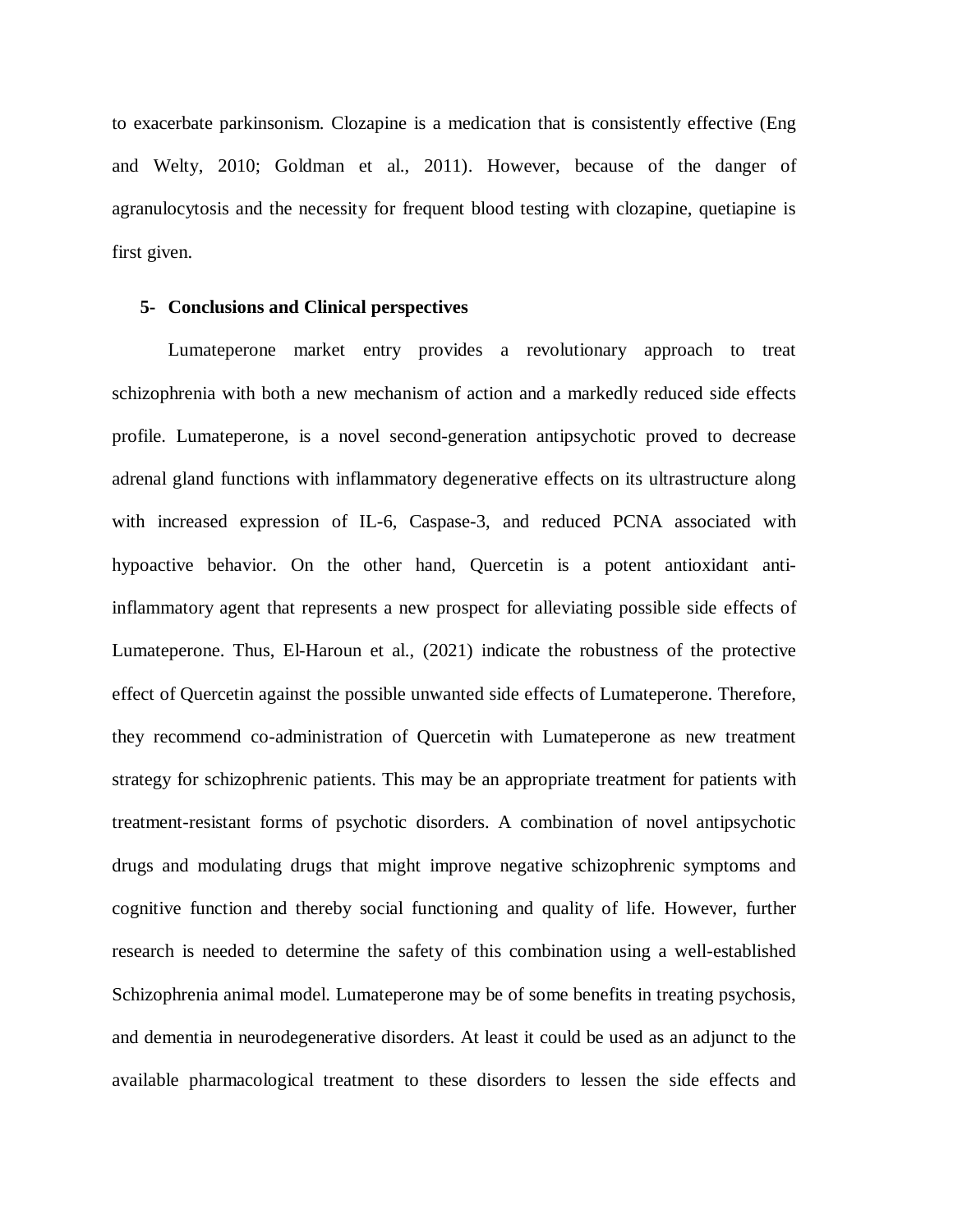to exacerbate parkinsonism. Clozapine is a medication that is consistently effective (Eng and Welty, 2010; Goldman et al., 2011). However, because of the danger of agranulocytosis and the necessity for frequent blood testing with clozapine, quetiapine is first given.

# **5- Conclusions and Clinical perspectives**

Lumateperone market entry provides a revolutionary approach to treat schizophrenia with both a new mechanism of action and a markedly reduced side effects profile. Lumateperone, is a novel second-generation antipsychotic proved to decrease adrenal gland functions with inflammatory degenerative effects on its ultrastructure along with increased expression of IL-6, Caspase-3, and reduced PCNA associated with hypoactive behavior. On the other hand, Quercetin is a potent antioxidant antiinflammatory agent that represents a new prospect for alleviating possible side effects of Lumateperone. Thus, El-Haroun et al., (2021) indicate the robustness of the protective effect of Quercetin against the possible unwanted side effects of Lumateperone. Therefore, they recommend co-administration of Quercetin with Lumateperone as new treatment strategy for schizophrenic patients. This may be an appropriate treatment for patients with treatment-resistant forms of psychotic disorders. A combination of novel antipsychotic drugs and modulating drugs that might improve negative schizophrenic symptoms and cognitive function and thereby social functioning and quality of life. However, further research is needed to determine the safety of this combination using a well-established Schizophrenia animal model. Lumateperone may be of some benefits in treating psychosis, and dementia in neurodegenerative disorders. At least it could be used as an adjunct to the available pharmacological treatment to these disorders to lessen the side effects and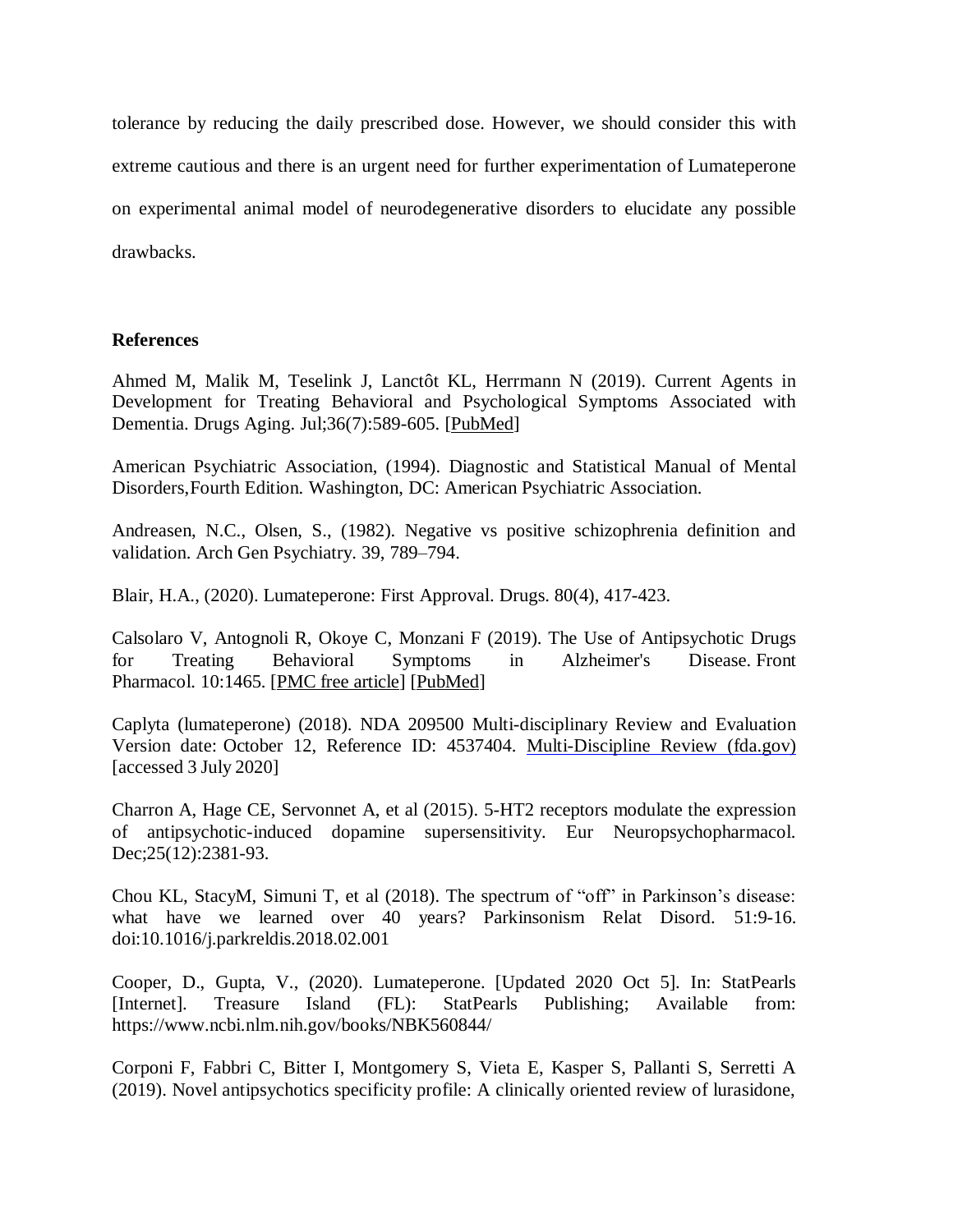tolerance by reducing the daily prescribed dose. However, we should consider this with extreme cautious and there is an urgent need for further experimentation of Lumateperone on experimental animal model of neurodegenerative disorders to elucidate any possible drawbacks.

## **References**

Ahmed M, Malik M, Teselink J, Lanctôt KL, Herrmann N (2019). Current Agents in Development for Treating Behavioral and Psychological Symptoms Associated with Dementia. Drugs Aging. Jul;36(7):589-605. [\[PubMed\]](https://www.ncbi.nlm.nih.gov/pubmed/30957198)

American Psychiatric Association, (1994). Diagnostic and Statistical Manual of Mental Disorders,Fourth Edition. Washington, DC: American Psychiatric Association.

Andreasen, N.C., Olsen, S., (1982). Negative vs positive schizophrenia definition and validation. Arch Gen Psychiatry. 39, 789–794.

Blair, H.A., (2020). Lumateperone: First Approval. Drugs. 80(4), 417-423.

Calsolaro V, Antognoli R, Okoye C, Monzani F (2019). The Use of Antipsychotic Drugs for Treating Behavioral Symptoms in Alzheimer's Disease. Front Pharmacol. 10:1465. [\[PMC free article\]](https://www.ncbi.nlm.nih.gov/pmc/articles/PMC6915160/) [\[PubMed\]](https://www.ncbi.nlm.nih.gov/pubmed/31920655)

Caplyta (lumateperone) (2018). NDA 209500 Multi-disciplinary Review and Evaluation Version date: October 12, Reference ID: 4537404. [Multi-Discipline](https://www.accessdata.fda.gov/drugsatfda_docs/nda/2019/209500Orig1s000MultidisciplineR.pdf) Review (fda.gov) [accessed 3 July 2020]

Charron A, Hage CE, Servonnet A, et al (2015). 5-HT2 receptors modulate the expression of antipsychotic-induced dopamine supersensitivity. Eur Neuropsychopharmacol. Dec;25(12):2381-93.

Chou KL, StacyM, Simuni T, et al (2018). The spectrum of "off" in Parkinson's disease: what have we learned over 40 years? Parkinsonism Relat Disord. 51:9-16. doi:10.1016/j.parkreldis.2018.02.001

Cooper, D., Gupta, V., (2020). Lumateperone. [Updated 2020 Oct 5]. In: StatPearls [Internet]. Treasure Island (FL): StatPearls Publishing; Available from: <https://www.ncbi.nlm.nih.gov/books/NBK560844/>

Corponi F, Fabbri C, Bitter I, Montgomery S, Vieta E, Kasper S, Pallanti S, Serretti A (2019). Novel antipsychotics specificity profile: A clinically oriented review of lurasidone,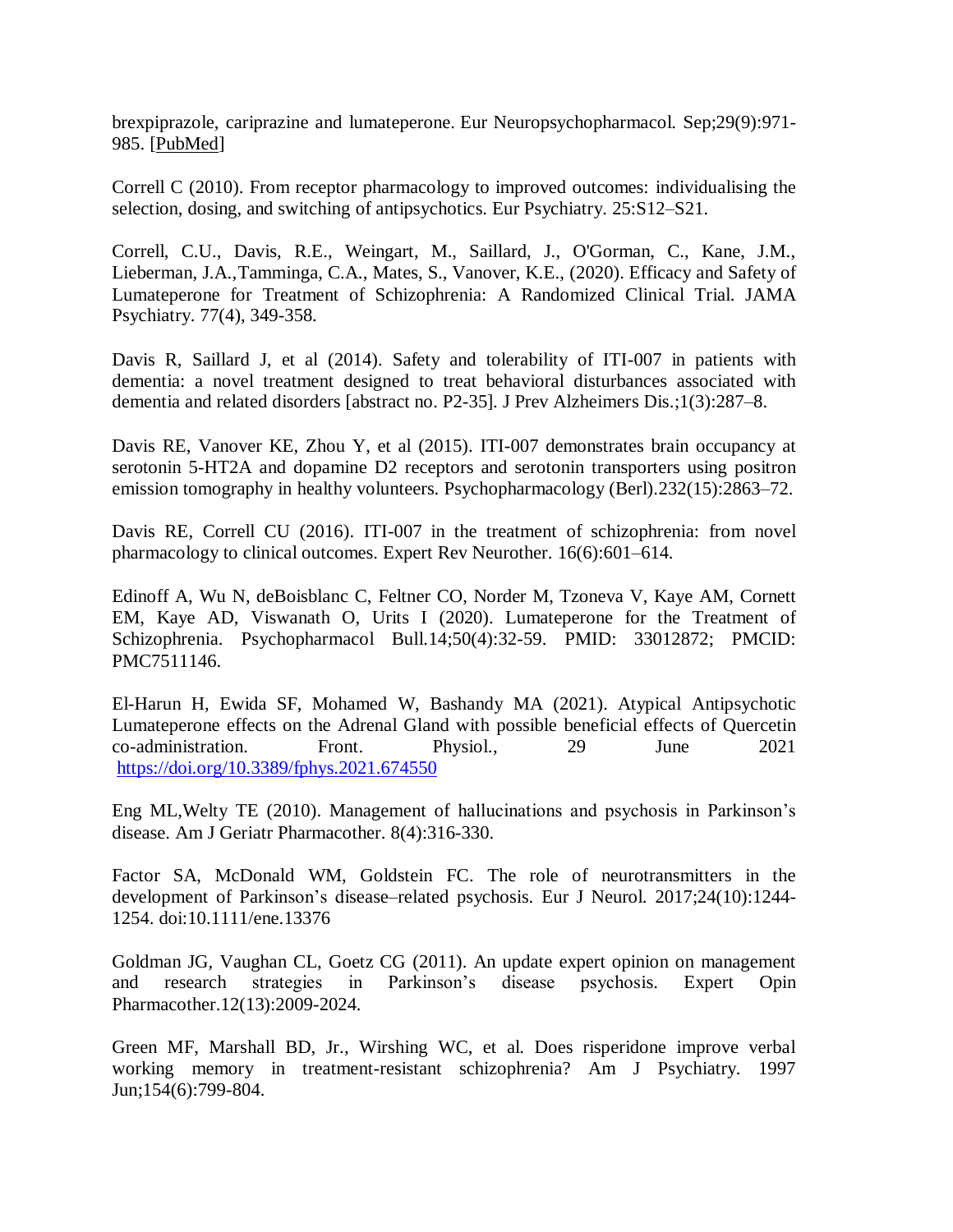brexpiprazole, cariprazine and lumateperone. Eur Neuropsychopharmacol. Sep;29(9):971- 985. [\[PubMed\]](https://www.ncbi.nlm.nih.gov/pubmed/31255396)

Correll C (2010). From receptor pharmacology to improved outcomes: individualising the selection, dosing, and switching of antipsychotics. Eur Psychiatry. 25:S12–S21.

Correll, C.U., Davis, R.E., Weingart, M., Saillard, J., O'Gorman, C., Kane, J.M., Lieberman, J.A.,Tamminga, C.A., Mates, S., Vanover, K.E., (2020). Efficacy and Safety of Lumateperone for Treatment of Schizophrenia: A Randomized Clinical Trial. JAMA Psychiatry. 77(4), 349-358.

Davis R, Saillard J, et al (2014). Safety and tolerability of ITI-007 in patients with dementia: a novel treatment designed to treat behavioral disturbances associated with dementia and related disorders [abstract no. P2-35]. J Prev Alzheimers Dis.;1(3):287–8.

Davis RE, Vanover KE, Zhou Y, et al (2015). ITI-007 demonstrates brain occupancy at serotonin 5-HT2A and dopamine D2 receptors and serotonin transporters using positron emission tomography in healthy volunteers. Psychopharmacology (Berl).232(15):2863–72.

Davis RE, Correll CU (2016). ITI-007 in the treatment of schizophrenia: from novel pharmacology to clinical outcomes. Expert Rev Neurother. 16(6):601–614.

Edinoff A, Wu N, deBoisblanc C, Feltner CO, Norder M, Tzoneva V, Kaye AM, Cornett EM, Kaye AD, Viswanath O, Urits I (2020). Lumateperone for the Treatment of Schizophrenia. Psychopharmacol Bull.14;50(4):32-59. PMID: 33012872; PMCID: PMC7511146.

El-Harun H, Ewida SF, Mohamed W, Bashandy MA (2021). Atypical Antipsychotic Lumateperone effects on the Adrenal Gland with possible beneficial effects of Quercetin co-administration. Front. Physiol., 29 June 2021 <https://doi.org/10.3389/fphys.2021.674550>

Eng ML,Welty TE (2010). Management of hallucinations and psychosis in Parkinson's disease. Am J Geriatr Pharmacother. 8(4):316-330.

Factor SA, McDonald WM, Goldstein FC. The role of neurotransmitters in the development of Parkinson's disease–related psychosis. Eur J Neurol. 2017;24(10):1244- 1254. doi:10.1111/ene.13376

Goldman JG, Vaughan CL, Goetz CG (2011). An update expert opinion on management and research strategies in Parkinson's disease psychosis. Expert Opin Pharmacother.12(13):2009-2024.

Green MF, Marshall BD, Jr., Wirshing WC, et al. Does risperidone improve verbal working memory in treatment-resistant schizophrenia? Am J Psychiatry. 1997 Jun;154(6):799-804.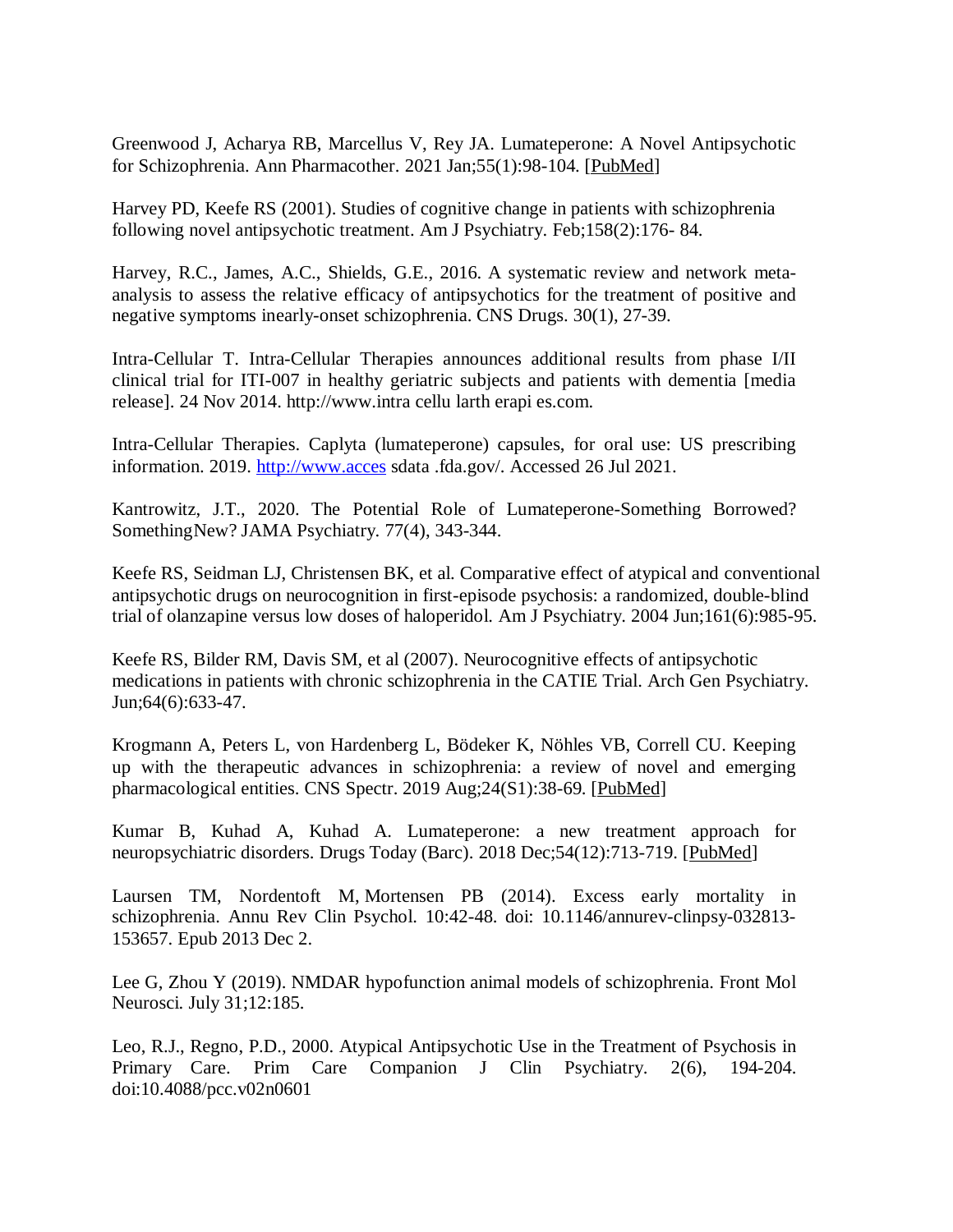Greenwood J, Acharya RB, Marcellus V, Rey JA. Lumateperone: A Novel Antipsychotic for Schizophrenia. Ann Pharmacother. 2021 Jan;55(1):98-104. [\[PubMed\]](https://www.ncbi.nlm.nih.gov/pubmed/32590907)

Harvey PD, Keefe RS (2001). Studies of cognitive change in patients with schizophrenia following novel antipsychotic treatment. Am J Psychiatry. Feb;158(2):176- 84.

Harvey, R.C., James, A.C., Shields, G.E., 2016. A systematic review and network metaanalysis to assess the relative efficacy of antipsychotics for the treatment of positive and negative symptoms inearly-onset schizophrenia. CNS Drugs. 30(1), 27-39.

Intra-Cellular T. Intra-Cellular Therapies announces additional results from phase I/II clinical trial for ITI-007 in healthy geriatric subjects and patients with dementia [media release]. 24 Nov 2014. http://www.intra cellu larth erapi es.com.

Intra-Cellular Therapies. Caplyta (lumateperone) capsules, for oral use: US prescribing information. 2019. [http://www.acces](http://www.acces/) sdata .fda.gov/. Accessed 26 Jul 2021.

Kantrowitz, J.T., 2020. The Potential Role of Lumateperone-Something Borrowed? SomethingNew? JAMA Psychiatry. 77(4), 343-344.

Keefe RS, Seidman LJ, Christensen BK, et al. Comparative effect of atypical and conventional antipsychotic drugs on neurocognition in first-episode psychosis: a randomized, double-blind trial of olanzapine versus low doses of haloperidol. Am J Psychiatry. 2004 Jun;161(6):985-95.

Keefe RS, Bilder RM, Davis SM, et al (2007). Neurocognitive effects of antipsychotic medications in patients with chronic schizophrenia in the CATIE Trial. Arch Gen Psychiatry. Jun;64(6):633-47.

Krogmann A, Peters L, von Hardenberg L, Bödeker K, Nöhles VB, Correll CU. Keeping up with the therapeutic advances in schizophrenia: a review of novel and emerging pharmacological entities. CNS Spectr. 2019 Aug;24(S1):38-69. [\[PubMed\]](https://www.ncbi.nlm.nih.gov/pubmed/31482779)

Kumar B, Kuhad A, Kuhad A. Lumateperone: a new treatment approach for neuropsychiatric disorders. Drugs Today (Barc). 2018 Dec; 54(12): 713-719. [\[PubMed\]](https://www.ncbi.nlm.nih.gov/pubmed/30596390)

Laursen TM, Nordentoft M, Mortensen PB (2014). Excess early mortality in schizophrenia. Annu Rev Clin Psychol. 10:42-48. doi: 10.1146/annurev-clinpsy-032813- 153657. Epub 2013 Dec 2.

Lee G, Zhou Y (2019). NMDAR hypofunction animal models of schizophrenia. Front Mol Neurosci. July 31;12:185.

Leo, R.J., Regno, P.D., 2000. Atypical Antipsychotic Use in the Treatment of Psychosis in Primary Care. Prim Care Companion J Clin Psychiatry. 2(6), 194-204. doi:10.4088/pcc.v02n0601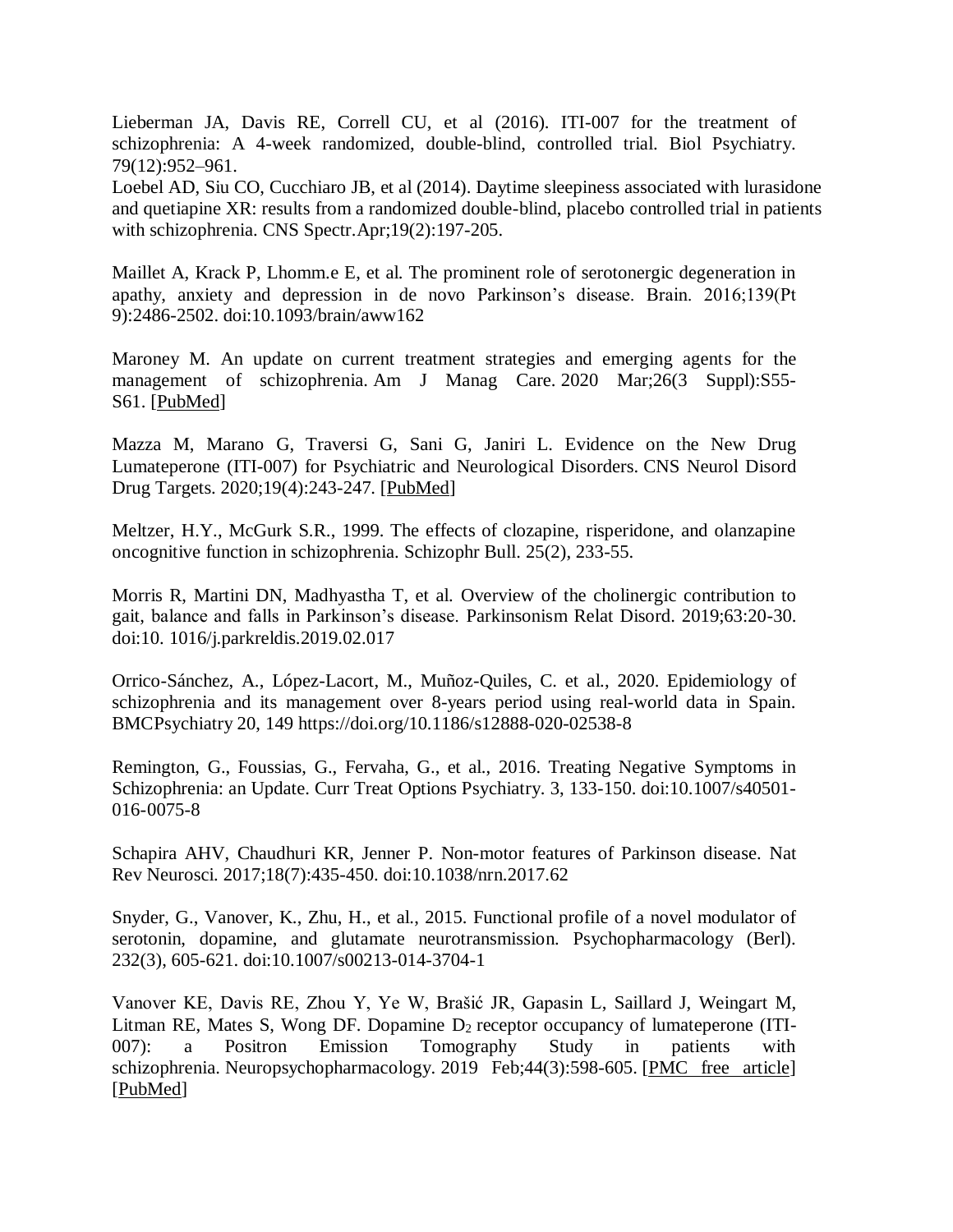Lieberman JA, Davis RE, Correll CU, et al (2016). ITI-007 for the treatment of schizophrenia: A 4-week randomized, double-blind, controlled trial. Biol Psychiatry. 79(12):952–961.

Loebel AD, Siu CO, Cucchiaro JB, et al (2014). Daytime sleepiness associated with lurasidone and quetiapine XR: results from a randomized double-blind, placebo controlled trial in patients with schizophrenia. CNS Spectr.Apr;19(2):197-205.

Maillet A, Krack P, Lhomm.e E, et al. The prominent role of serotonergic degeneration in apathy, anxiety and depression in de novo Parkinson's disease. Brain. 2016;139(Pt 9):2486-2502. doi:10.1093/brain/aww162

Maroney M. An update on current treatment strategies and emerging agents for the management of schizophrenia. Am J Manag Care. 2020 Mar;26(3 Suppl):S55- S61. [\[PubMed\]](https://www.ncbi.nlm.nih.gov/pubmed/32282175)

Mazza M, Marano G, Traversi G, Sani G, Janiri L. Evidence on the New Drug Lumateperone (ITI-007) for Psychiatric and Neurological Disorders. CNS Neurol Disord Drug Targets. 2020;19(4):243-247. [\[PubMed\]](https://www.ncbi.nlm.nih.gov/pubmed/32479249)

Meltzer, H.Y., McGurk S.R., 1999. The effects of clozapine, risperidone, and olanzapine oncognitive function in schizophrenia. Schizophr Bull. 25(2), 233-55.

Morris R, Martini DN, Madhyastha T, et al. Overview of the cholinergic contribution to gait, balance and falls in Parkinson's disease. Parkinsonism Relat Disord. 2019;63:20-30. doi:10. 1016/j.parkreldis.2019.02.017

Orrico-Sánchez, A., López-Lacort, M., Muñoz-Quiles, C. et al., 2020. Epidemiology of schizophrenia and its management over 8-years period using real-world data in Spain. BMCPsychiatry 20, 149 https://doi.org/10.1186/s12888-020-02538-8

Remington, G., Foussias, G., Fervaha, G., et al., 2016. Treating Negative Symptoms in Schizophrenia: an Update. Curr Treat Options Psychiatry. 3, 133-150. doi:10.1007/s40501-016-0075-8

Schapira AHV, Chaudhuri KR, Jenner P. Non-motor features of Parkinson disease. Nat Rev Neurosci. 2017;18(7):435-450. doi:10.1038/nrn.2017.62

Snyder, G., Vanover, K., Zhu, H., et al., 2015. Functional profile of a novel modulator of serotonin, dopamine, and glutamate neurotransmission. Psychopharmacology (Berl). 232(3), 605-621. doi:10.1007/s00213-014-3704-1

Vanover KE, Davis RE, Zhou Y, Ye W, Brašić JR, Gapasin L, Saillard J, Weingart M, Litman RE, Mates S, Wong DF. Dopamine  $D_2$  receptor occupancy of lumateperone (ITI-007): a Positron Emission Tomography Study in patients with schizophrenia. Neuropsychopharmacology. 2019 Feb;44(3):598-605. [\[PMC free article\]](https://www.ncbi.nlm.nih.gov/pmc/articles/PMC6333832/) [\[PubMed\]](https://www.ncbi.nlm.nih.gov/pubmed/30449883)